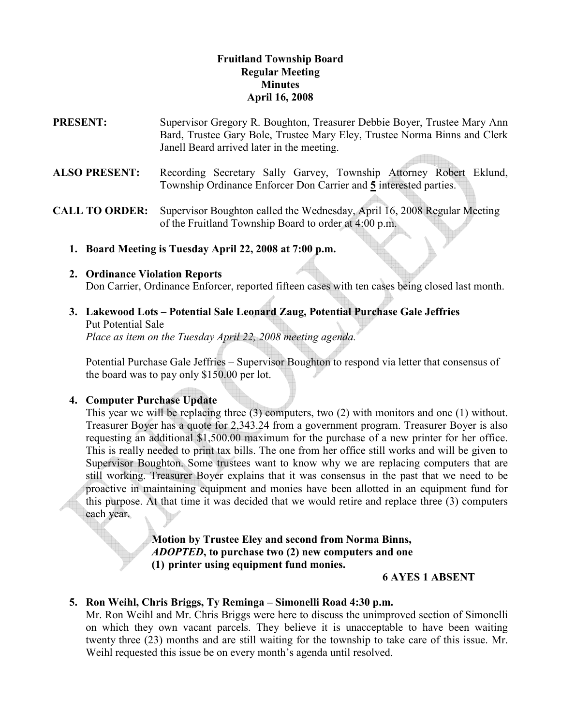# Fruitland Township Board Regular Meeting **Minutes** April 16, 2008

- PRESENT: Supervisor Gregory R. Boughton, Treasurer Debbie Boyer, Trustee Mary Ann Bard, Trustee Gary Bole, Trustee Mary Eley, Trustee Norma Binns and Clerk Janell Beard arrived later in the meeting.
- ALSO PRESENT: Recording Secretary Sally Garvey, Township Attorney Robert Eklund, Township Ordinance Enforcer Don Carrier and 5 interested parties.
- CALL TO ORDER: Supervisor Boughton called the Wednesday, April 16, 2008 Regular Meeting of the Fruitland Township Board to order at 4:00 p.m.
	- 1. Board Meeting is Tuesday April 22, 2008 at 7:00 p.m.

## 2. Ordinance Violation Reports

Don Carrier, Ordinance Enforcer, reported fifteen cases with ten cases being closed last month.

# 3. Lakewood Lots – Potential Sale Leonard Zaug, Potential Purchase Gale Jeffries Put Potential Sale

Place as item on the Tuesday April 22, 2008 meeting agenda.

 Potential Purchase Gale Jeffries – Supervisor Boughton to respond via letter that consensus of the board was to pay only \$150.00 per lot.

## 4. Computer Purchase Update

This year we will be replacing three (3) computers, two (2) with monitors and one (1) without. Treasurer Boyer has a quote for 2,343.24 from a government program. Treasurer Boyer is also requesting an additional \$1,500.00 maximum for the purchase of a new printer for her office. This is really needed to print tax bills. The one from her office still works and will be given to Supervisor Boughton. Some trustees want to know why we are replacing computers that are still working. Treasurer Boyer explains that it was consensus in the past that we need to be proactive in maintaining equipment and monies have been allotted in an equipment fund for this purpose. At that time it was decided that we would retire and replace three (3) computers each year.

> Motion by Trustee Eley and second from Norma Binns, ADOPTED, to purchase two (2) new computers and one (1) printer using equipment fund monies.

## 6 AYES 1 ABSENT

## 5. Ron Weihl, Chris Briggs, Ty Reminga – Simonelli Road 4:30 p.m.

Mr. Ron Weihl and Mr. Chris Briggs were here to discuss the unimproved section of Simonelli on which they own vacant parcels. They believe it is unacceptable to have been waiting twenty three (23) months and are still waiting for the township to take care of this issue. Mr. Weihl requested this issue be on every month's agenda until resolved.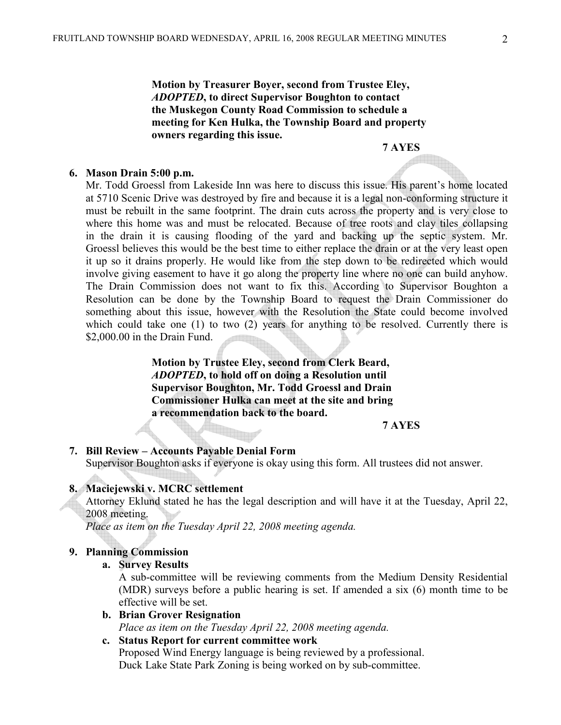Motion by Treasurer Boyer, second from Trustee Eley, ADOPTED, to direct Supervisor Boughton to contact the Muskegon County Road Commission to schedule a meeting for Ken Hulka, the Township Board and property owners regarding this issue.

#### 7 AYES

#### 6. Mason Drain 5:00 p.m.

Mr. Todd Groessl from Lakeside Inn was here to discuss this issue. His parent's home located at 5710 Scenic Drive was destroyed by fire and because it is a legal non-conforming structure it must be rebuilt in the same footprint. The drain cuts across the property and is very close to where this home was and must be relocated. Because of tree roots and clay tiles collapsing in the drain it is causing flooding of the yard and backing up the septic system. Mr. Groessl believes this would be the best time to either replace the drain or at the very least open it up so it drains properly. He would like from the step down to be redirected which would involve giving easement to have it go along the property line where no one can build anyhow. The Drain Commission does not want to fix this. According to Supervisor Boughton a Resolution can be done by the Township Board to request the Drain Commissioner do something about this issue, however with the Resolution the State could become involved which could take one (1) to two (2) years for anything to be resolved. Currently there is \$2,000.00 in the Drain Fund.

> Motion by Trustee Eley, second from Clerk Beard, ADOPTED, to hold off on doing a Resolution until Supervisor Boughton, Mr. Todd Groessl and Drain Commissioner Hulka can meet at the site and bring a recommendation back to the board.

#### 7 AYES

## 7. Bill Review – Accounts Payable Denial Form Supervisor Boughton asks if everyone is okay using this form. All trustees did not answer.

#### 8. Maciejewski v. MCRC settlement

Attorney Eklund stated he has the legal description and will have it at the Tuesday, April 22, 2008 meeting.

Place as item on the Tuesday April 22, 2008 meeting agenda.

## 9. Planning Commission

## a. Survey Results

A sub-committee will be reviewing comments from the Medium Density Residential (MDR) surveys before a public hearing is set. If amended a six (6) month time to be effective will be set.

b. Brian Grover Resignation Place as item on the Tuesday April 22, 2008 meeting agenda.

# c. Status Report for current committee work

 Proposed Wind Energy language is being reviewed by a professional. Duck Lake State Park Zoning is being worked on by sub-committee.